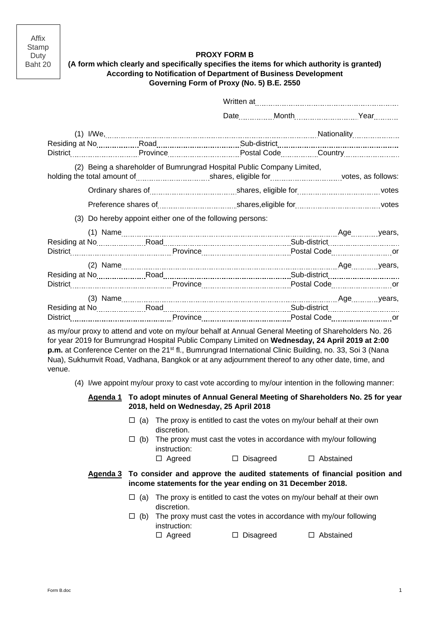Affix Stamp Duty Baht 20

# **PROXY FORM B**

## **(A form which clearly and specifically specifies the items for which authority is granted) According to Notification of Department of Business Development Governing Form of Proxy (No. 5) B.E. 2550**

|                                                                        | District Country Countries Province Countries Postal Code Community Country Country Country Province Country Country Country Country Country Country Country Country Country Country Country Country Country Country Country C |  |  |  |  |  |  |
|------------------------------------------------------------------------|--------------------------------------------------------------------------------------------------------------------------------------------------------------------------------------------------------------------------------|--|--|--|--|--|--|
| (2) Being a shareholder of Bumrungrad Hospital Public Company Limited, |                                                                                                                                                                                                                                |  |  |  |  |  |  |
|                                                                        |                                                                                                                                                                                                                                |  |  |  |  |  |  |
|                                                                        |                                                                                                                                                                                                                                |  |  |  |  |  |  |
|                                                                        | (3) Do hereby appoint either one of the following persons:                                                                                                                                                                     |  |  |  |  |  |  |
|                                                                        |                                                                                                                                                                                                                                |  |  |  |  |  |  |
|                                                                        |                                                                                                                                                                                                                                |  |  |  |  |  |  |
|                                                                        |                                                                                                                                                                                                                                |  |  |  |  |  |  |
|                                                                        |                                                                                                                                                                                                                                |  |  |  |  |  |  |
|                                                                        |                                                                                                                                                                                                                                |  |  |  |  |  |  |
|                                                                        |                                                                                                                                                                                                                                |  |  |  |  |  |  |
|                                                                        |                                                                                                                                                                                                                                |  |  |  |  |  |  |
|                                                                        |                                                                                                                                                                                                                                |  |  |  |  |  |  |
|                                                                        |                                                                                                                                                                                                                                |  |  |  |  |  |  |

as my/our proxy to attend and vote on my/our behalf at Annual General Meeting of Shareholders No. 26 for year 2019 for Bumrungrad Hospital Public Company Limited on **Wednesday, 24 April 2019 at 2:00 p.m.** at Conference Center on the 21<sup>st</sup> fl., Bumrungrad International Clinic Building, no. 33, Soi 3 (Nana Nua), Sukhumvit Road, Vadhana, Bangkok or at any adjournment thereof to any other date, time, and venue.

(4) I/we appoint my/our proxy to cast vote according to my/our intention in the following manner:

### **Agenda 1 To adopt minutes of Annual General Meeting of Shareholders No. 25 for year 2018, held on Wednesday, 25 April 2018**

- $\Box$  (a) The proxy is entitled to cast the votes on my/our behalf at their own discretion.
- $\Box$  (b) The proxy must cast the votes in accordance with my/our following instruction:
	- □ Agreed □ Disagreed □ Abstained

#### **Agenda 3 To consider and approve the audited statements of financial position and income statements for the year ending on 31 December 2018.**

- $\Box$  (a) The proxy is entitled to cast the votes on my/our behalf at their own discretion.
- $\Box$  (b) The proxy must cast the votes in accordance with my/our following instruction:

□ Agreed □ Disagreed □ Abstained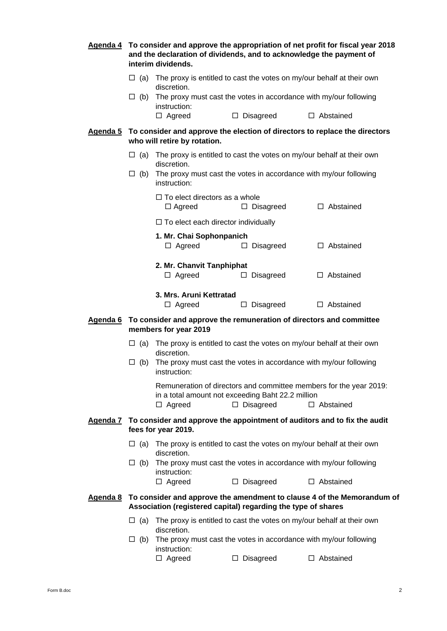|                                                                                                       |                                                                                                                                                                                  | Agenda 4 To consider and approve the appropriation of net profit for fiscal year 2018<br>and the declaration of dividends, and to acknowledge the payment of<br>interim dividends. |                                                                                     |                                                                                  |  |  |  |  |
|-------------------------------------------------------------------------------------------------------|----------------------------------------------------------------------------------------------------------------------------------------------------------------------------------|------------------------------------------------------------------------------------------------------------------------------------------------------------------------------------|-------------------------------------------------------------------------------------|----------------------------------------------------------------------------------|--|--|--|--|
|                                                                                                       |                                                                                                                                                                                  | discretion.                                                                                                                                                                        | $\Box$ (a) The proxy is entitled to cast the votes on my/our behalf at their own    |                                                                                  |  |  |  |  |
|                                                                                                       |                                                                                                                                                                                  | instruction:                                                                                                                                                                       | $\Box$ (b) The proxy must cast the votes in accordance with my/our following        |                                                                                  |  |  |  |  |
|                                                                                                       |                                                                                                                                                                                  | $\Box$ Agreed                                                                                                                                                                      | $\Box$ Disagreed                                                                    | $\Box$ Abstained                                                                 |  |  |  |  |
|                                                                                                       |                                                                                                                                                                                  | who will retire by rotation.                                                                                                                                                       | Agenda 5 To consider and approve the election of directors to replace the directors |                                                                                  |  |  |  |  |
| $\Box$ (a) The proxy is entitled to cast the votes on my/our behalf at their own                      |                                                                                                                                                                                  |                                                                                                                                                                                    |                                                                                     |                                                                                  |  |  |  |  |
|                                                                                                       | $\Box$ (b)                                                                                                                                                                       | discretion.<br>The proxy must cast the votes in accordance with my/our following<br>instruction:                                                                                   |                                                                                     |                                                                                  |  |  |  |  |
|                                                                                                       |                                                                                                                                                                                  | $\Box$ To elect directors as a whole<br>$\Box$ Agreed                                                                                                                              | $\Box$ Disagreed                                                                    | $\Box$ Abstained                                                                 |  |  |  |  |
|                                                                                                       |                                                                                                                                                                                  |                                                                                                                                                                                    |                                                                                     |                                                                                  |  |  |  |  |
|                                                                                                       |                                                                                                                                                                                  | 1. Mr. Chai Sophonpanich<br>$\Box$ Agreed                                                                                                                                          | $\Box$ Disagreed                                                                    | $\Box$ Abstained                                                                 |  |  |  |  |
|                                                                                                       |                                                                                                                                                                                  | 2. Mr. Chanvit Tanphiphat<br>$\Box$ Agreed                                                                                                                                         | $\Box$ Disagreed                                                                    | $\Box$ Abstained                                                                 |  |  |  |  |
|                                                                                                       |                                                                                                                                                                                  | 3. Mrs. Aruni Kettratad<br>$\Box$ Agreed                                                                                                                                           | $\Box$ Disagreed                                                                    | $\Box$ Abstained                                                                 |  |  |  |  |
| Agenda 6 To consider and approve the remuneration of directors and committee<br>members for year 2019 |                                                                                                                                                                                  |                                                                                                                                                                                    |                                                                                     |                                                                                  |  |  |  |  |
|                                                                                                       | $\Box$ (a) The proxy is entitled to cast the votes on my/our behalf at their own<br>discretion.                                                                                  |                                                                                                                                                                                    |                                                                                     |                                                                                  |  |  |  |  |
|                                                                                                       | $\Box$ (b)                                                                                                                                                                       | The proxy must cast the votes in accordance with my/our following<br>instruction:                                                                                                  |                                                                                     |                                                                                  |  |  |  |  |
|                                                                                                       | Remuneration of directors and committee members for the year 2019:<br>in a total amount not exceeding Baht 22.2 million<br>$\Box$ Agreed<br>$\Box$ Disagreed<br>$\Box$ Abstained |                                                                                                                                                                                    |                                                                                     |                                                                                  |  |  |  |  |
|                                                                                                       | Agenda 7 To consider and approve the appointment of auditors and to fix the audit<br>fees for year 2019.                                                                         |                                                                                                                                                                                    |                                                                                     |                                                                                  |  |  |  |  |
|                                                                                                       |                                                                                                                                                                                  | discretion.                                                                                                                                                                        |                                                                                     | $\Box$ (a) The proxy is entitled to cast the votes on my/our behalf at their own |  |  |  |  |
|                                                                                                       | $\Box$ (b)                                                                                                                                                                       | instruction:                                                                                                                                                                       |                                                                                     | The proxy must cast the votes in accordance with my/our following                |  |  |  |  |
|                                                                                                       |                                                                                                                                                                                  | $\Box$ Agreed                                                                                                                                                                      | $\Box$ Disagreed                                                                    | $\Box$ Abstained                                                                 |  |  |  |  |
|                                                                                                       | Agenda 8 To consider and approve the amendment to clause 4 of the Memorandum of<br>Association (registered capital) regarding the type of shares                                 |                                                                                                                                                                                    |                                                                                     |                                                                                  |  |  |  |  |
|                                                                                                       | $\Box$ (a)                                                                                                                                                                       | discretion.                                                                                                                                                                        |                                                                                     | The proxy is entitled to cast the votes on my/our behalf at their own            |  |  |  |  |
|                                                                                                       | The proxy must cast the votes in accordance with my/our following<br>$\Box$ (b)<br>instruction:                                                                                  |                                                                                                                                                                                    |                                                                                     |                                                                                  |  |  |  |  |
|                                                                                                       |                                                                                                                                                                                  | $\Box$ Agreed                                                                                                                                                                      | $\Box$ Disagreed                                                                    | $\Box$ Abstained                                                                 |  |  |  |  |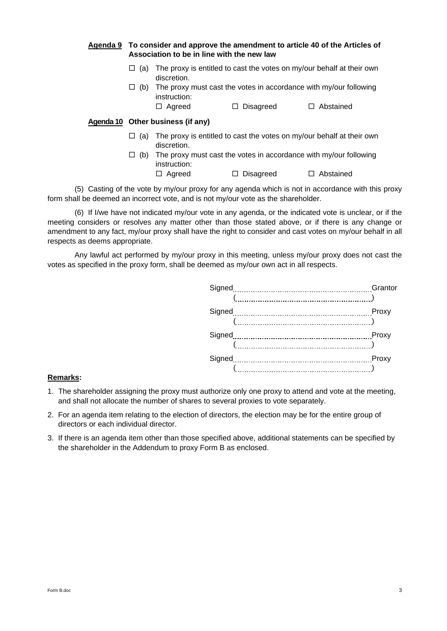### **Agenda 9 To consider and approve the amendment to article 40 of the Articles of Association to be in line with the new law**

- $\Box$  (a) The proxy is entitled to cast the votes on my/our behalf at their own discretion.
- $\Box$  (b) The proxy must cast the votes in accordance with my/our following instruction:
	- □ Agreed □ Disagreed □ Abstained

## **Agenda 10 Other business (if any)**

- $\Box$  (a) The proxy is entitled to cast the votes on my/our behalf at their own discretion.
- $\Box$  (b) The proxy must cast the votes in accordance with my/our following instruction:  $\Box$  Agreed  $\Box$  Disagreed  $\Box$  Abstained

(5) Casting of the vote by my/our proxy for any agenda which is not in accordance with this proxy form shall be deemed an incorrect vote, and is not my/our vote as the shareholder.

(6) If I/we have not indicated my/our vote in any agenda, or the indicated vote is unclear, or if the meeting considers or resolves any matter other than those stated above, or if there is any change or amendment to any fact, my/our proxy shall have the right to consider and cast votes on my/our behalf in all respects as deems appropriate.

Any lawful act performed by my/our proxy in this meeting, unless my/our proxy does not cast the votes as specified in the proxy form, shall be deemed as my/our own act in all respects.

| Signed | Grantor |
|--------|---------|
|        |         |
| Signed | Proxy   |
|        |         |
| Signed | Proxy   |
|        |         |
| Signed | Proxy   |
|        |         |

#### **Remarks:**

- 1. The shareholder assigning the proxy must authorize only one proxy to attend and vote at the meeting, and shall not allocate the number of shares to several proxies to vote separately.
- 2. For an agenda item relating to the election of directors, the election may be for the entire group of directors or each individual director.
- 3. If there is an agenda item other than those specified above, additional statements can be specified by the shareholder in the Addendum to proxy Form B as enclosed.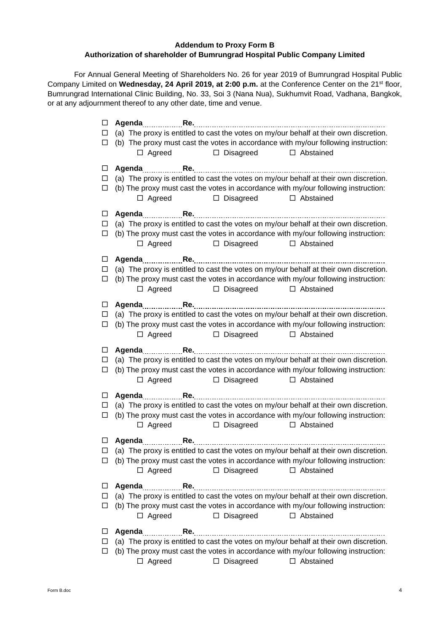# **Addendum to Proxy Form B Authorization of shareholder of Bumrungrad Hospital Public Company Limited**

For Annual General Meeting of Shareholders No. 26 for year 2019 of Bumrungrad Hospital Public Company Limited on **Wednesday, 24 April 2019, at 2:00 p.m.** at the Conference Center on the 21st floor, Bumrungrad International Clinic Building, No. 33, Soi 3 (Nana Nua), Sukhumvit Road, Vadhana, Bangkok, or at any adjournment thereof to any other date, time and venue.

| □<br>□                | (a) The proxy is entitled to cast the votes on my/our behalf at their own discretion.                                                                                                                                                |
|-----------------------|--------------------------------------------------------------------------------------------------------------------------------------------------------------------------------------------------------------------------------------|
| $\Box$                | (b) The proxy must cast the votes in accordance with my/our following instruction:<br>□ Disagreed □ Abstained<br>$\Box$ Agreed                                                                                                       |
|                       |                                                                                                                                                                                                                                      |
| ப<br>$\Box$<br>□      | (a) The proxy is entitled to cast the votes on my/our behalf at their own discretion.<br>(b) The proxy must cast the votes in accordance with my/our following instruction:<br>□ Disagreed<br>$\Box$ Agreed<br>□ Abstained           |
| $\Box$                |                                                                                                                                                                                                                                      |
| $\Box$<br>□           | (a) The proxy is entitled to cast the votes on my/our behalf at their own discretion.<br>(b) The proxy must cast the votes in accordance with my/our following instruction:<br>$\Box$ Agreed<br>$\Box$ Disagreed<br>$\Box$ Abstained |
| $\Box$                |                                                                                                                                                                                                                                      |
| $\Box$<br>$\Box$      | (a) The proxy is entitled to cast the votes on my/our behalf at their own discretion.<br>(b) The proxy must cast the votes in accordance with my/our following instruction:<br>$\Box$ Agreed<br>$\Box$ Disagreed<br>$\Box$ Abstained |
| $\Box$<br>$\Box$<br>Ц | (a) The proxy is entitled to cast the votes on my/our behalf at their own discretion.<br>(b) The proxy must cast the votes in accordance with my/our following instruction:<br>$\Box$ Agreed<br>$\Box$ Disagreed<br>□ Abstained      |
|                       |                                                                                                                                                                                                                                      |
| $\Box$<br>$\Box$<br>□ | (a) The proxy is entitled to cast the votes on my/our behalf at their own discretion.<br>(b) The proxy must cast the votes in accordance with my/our following instruction:<br>$\Box$ Agreed<br>$\Box$ Disagreed<br>□ Abstained      |
| $\Box$                |                                                                                                                                                                                                                                      |
| ப<br>□                | (a) The proxy is entitled to cast the votes on my/our behalf at their own discretion.<br>(b) The proxy must cast the votes in accordance with my/our following instruction:<br>$\Box$ Agreed<br>$\Box$ Disagreed<br>□ Abstained      |
|                       |                                                                                                                                                                                                                                      |
| □<br>ப                | (a) The proxy is entitled to cast the votes on my/our behalf at their own discretion.<br>(b) The proxy must cast the votes in accordance with my/our following instruction:<br>$\Box$ Disagreed<br>□ Abstained<br>$\Box$ Agreed      |
| ப                     |                                                                                                                                                                                                                                      |
| ப<br>ப                | (a) The proxy is entitled to cast the votes on my/our behalf at their own discretion.<br>(b) The proxy must cast the votes in accordance with my/our following instruction:<br>$\Box$ Agreed<br>$\Box$ Disagreed<br>$\Box$ Abstained |
| ப                     | (a) The proxy is entitled to cast the votes on my/our behalf at their own discretion.                                                                                                                                                |